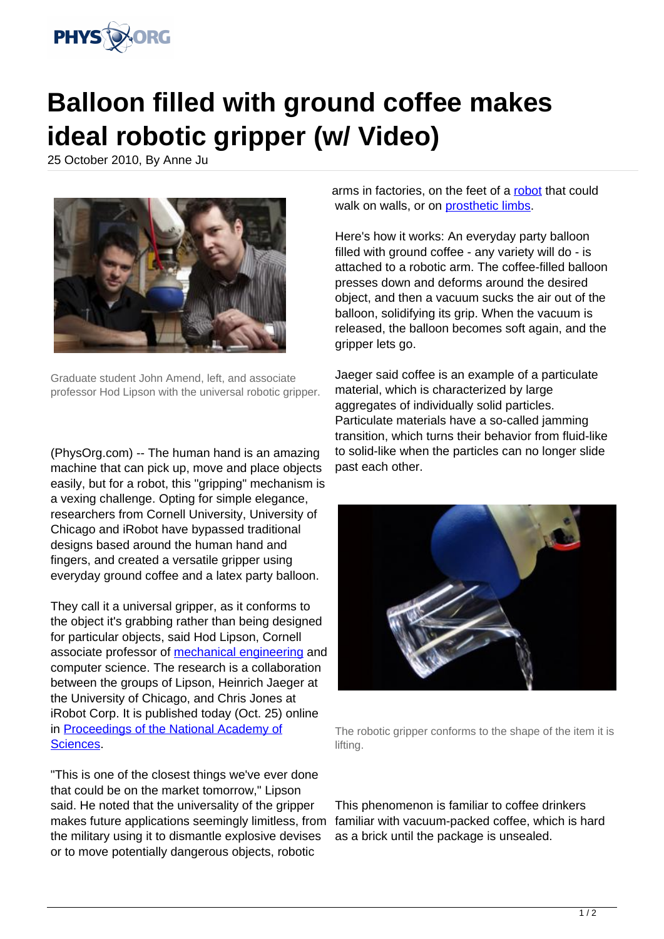

## **Balloon filled with ground coffee makes ideal robotic gripper (w/ Video)**

25 October 2010, By Anne Ju



Graduate student John Amend, left, and associate professor Hod Lipson with the universal robotic gripper.

(PhysOrg.com) -- The human hand is an amazing machine that can pick up, move and place objects easily, but for a robot, this "gripping" mechanism is a vexing challenge. Opting for simple elegance, researchers from Cornell University, University of Chicago and iRobot have bypassed traditional designs based around the human hand and fingers, and created a versatile gripper using everyday ground coffee and a latex party balloon.

They call it a universal gripper, as it conforms to the object it's grabbing rather than being designed for particular objects, said Hod Lipson, Cornell associate professor of [mechanical engineering](https://phys.org/tags/mechanical+engineering/) and computer science. The research is a collaboration between the groups of Lipson, Heinrich Jaeger at the University of Chicago, and Chris Jones at iRobot Corp. It is published today (Oct. 25) online in [Proceedings of the National Academy of](https://phys.org/tags/proceedings+of+the+national+academy+of+sciences/) [Sciences.](https://phys.org/tags/proceedings+of+the+national+academy+of+sciences/)

"This is one of the closest things we've ever done that could be on the market tomorrow," Lipson said. He noted that the universality of the gripper makes future applications seemingly limitless, from the military using it to dismantle explosive devises or to move potentially dangerous objects, robotic

arms in factories, on the feet of a [robot](https://phys.org/tags/robot/) that could walk on walls, or on [prosthetic limbs.](https://phys.org/tags/prosthetic+limbs/)

Here's how it works: An everyday party balloon filled with ground coffee - any variety will do - is attached to a robotic arm. The coffee-filled balloon presses down and deforms around the desired object, and then a vacuum sucks the air out of the balloon, solidifying its grip. When the vacuum is released, the balloon becomes soft again, and the gripper lets go.

Jaeger said coffee is an example of a particulate material, which is characterized by large aggregates of individually solid particles. Particulate materials have a so-called jamming transition, which turns their behavior from fluid-like to solid-like when the particles can no longer slide past each other.



The robotic gripper conforms to the shape of the item it is lifting.

This phenomenon is familiar to coffee drinkers familiar with vacuum-packed coffee, which is hard as a brick until the package is unsealed.